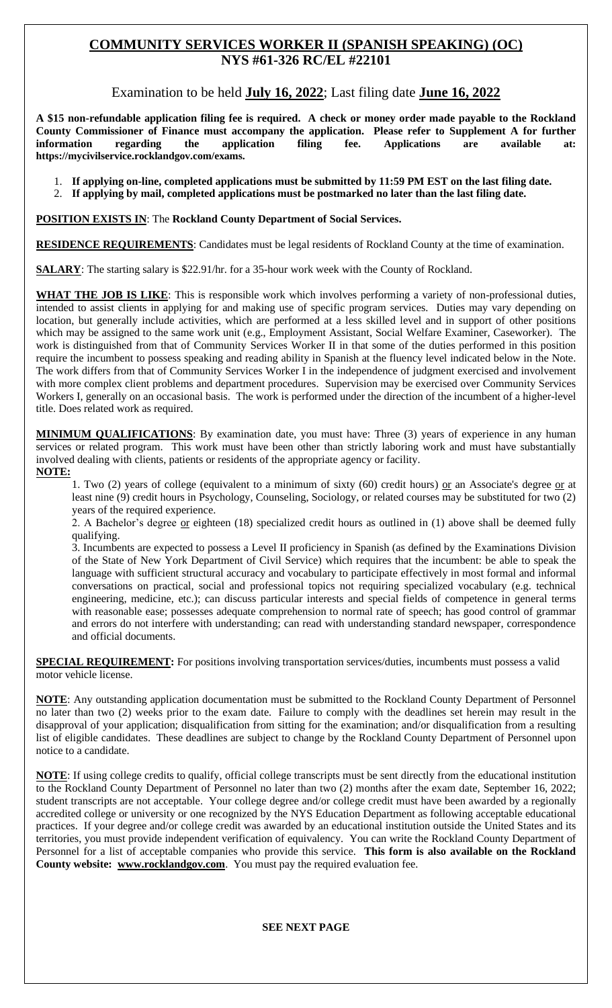# **COMMUNITY SERVICES WORKER II (SPANISH SPEAKING) (OC) NYS #61-326 RC/EL #22101**

Examination to be held **July 16, 2022**; Last filing date **June 16, 2022**

**A \$15 non-refundable application filing fee is required. A check or money order made payable to the Rockland County Commissioner of Finance must accompany the application. Please refer to Supplement A for further information regarding the application filing fee. Applications are available at: https://mycivilservice.rocklandgov.com/exams.**

1. **If applying on-line, completed applications must be submitted by 11:59 PM EST on the last filing date.**

2. **If applying by mail, completed applications must be postmarked no later than the last filing date.**

**POSITION EXISTS IN**: The **Rockland County Department of Social Services.**

**RESIDENCE REQUIREMENTS**: Candidates must be legal residents of Rockland County at the time of examination.

**SALARY**: The starting salary is \$22.91/hr. for a 35-hour work week with the County of Rockland.

**WHAT THE JOB IS LIKE**: This is responsible work which involves performing a variety of non-professional duties, intended to assist clients in applying for and making use of specific program services. Duties may vary depending on location, but generally include activities, which are performed at a less skilled level and in support of other positions which may be assigned to the same work unit (e.g., Employment Assistant, Social Welfare Examiner, Caseworker). The work is distinguished from that of Community Services Worker II in that some of the duties performed in this position require the incumbent to possess speaking and reading ability in Spanish at the fluency level indicated below in the Note. The work differs from that of Community Services Worker I in the independence of judgment exercised and involvement with more complex client problems and department procedures. Supervision may be exercised over Community Services Workers I, generally on an occasional basis. The work is performed under the direction of the incumbent of a higher-level title. Does related work as required.

**MINIMUM QUALIFICATIONS**: By examination date, you must have: Three (3) years of experience in any human services or related program. This work must have been other than strictly laboring work and must have substantially involved dealing with clients, patients or residents of the appropriate agency or facility. **NOTE:**

1. Two (2) years of college (equivalent to a minimum of sixty (60) credit hours) or an Associate's degree or at least nine (9) credit hours in Psychology, Counseling, Sociology, or related courses may be substituted for two (2) years of the required experience.

2. A Bachelor's degree or eighteen (18) specialized credit hours as outlined in (1) above shall be deemed fully qualifying.

3. Incumbents are expected to possess a Level II proficiency in Spanish (as defined by the Examinations Division of the State of New York Department of Civil Service) which requires that the incumbent: be able to speak the language with sufficient structural accuracy and vocabulary to participate effectively in most formal and informal conversations on practical, social and professional topics not requiring specialized vocabulary (e.g. technical engineering, medicine, etc.); can discuss particular interests and special fields of competence in general terms with reasonable ease; possesses adequate comprehension to normal rate of speech; has good control of grammar and errors do not interfere with understanding; can read with understanding standard newspaper, correspondence and official documents.

**SPECIAL REQUIREMENT:** For positions involving transportation services/duties, incumbents must possess a valid motor vehicle license.

**NOTE**: Any outstanding application documentation must be submitted to the Rockland County Department of Personnel no later than two (2) weeks prior to the exam date. Failure to comply with the deadlines set herein may result in the disapproval of your application; disqualification from sitting for the examination; and/or disqualification from a resulting list of eligible candidates. These deadlines are subject to change by the Rockland County Department of Personnel upon notice to a candidate.

**NOTE**: If using college credits to qualify, official college transcripts must be sent directly from the educational institution to the Rockland County Department of Personnel no later than two (2) months after the exam date, September 16, 2022; student transcripts are not acceptable. Your college degree and/or college credit must have been awarded by a regionally accredited college or university or one recognized by the NYS Education Department as following acceptable educational practices. If your degree and/or college credit was awarded by an educational institution outside the United States and its territories, you must provide independent verification of equivalency. You can write the Rockland County Department of Personnel for a list of acceptable companies who provide this service. **This form is also available on the Rockland County website: www.rocklandgov.com**.You must pay the required evaluation fee.

#### **SEE NEXT PAGE**